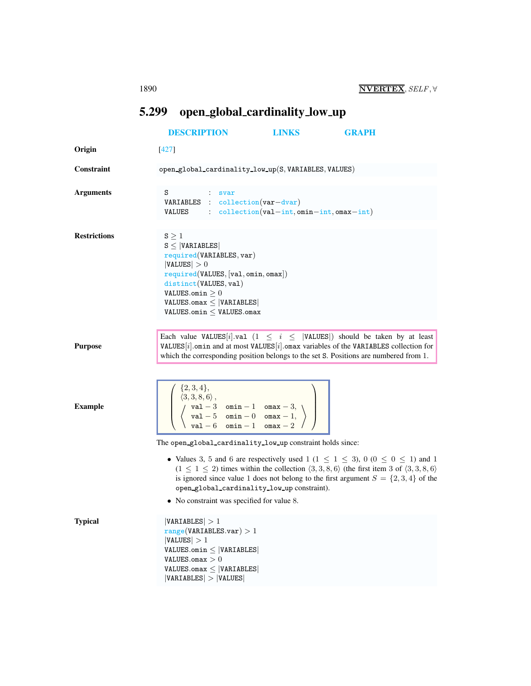## <span id="page-0-0"></span>5.299 open global cardinality low up

|                     | <b>DESCRIPTION</b>                                                                                                                                                                                                                                                                                        | LINKS                                                 | <b>GRAPH</b>                                                                                                                                                                                                                                                                                                          |
|---------------------|-----------------------------------------------------------------------------------------------------------------------------------------------------------------------------------------------------------------------------------------------------------------------------------------------------------|-------------------------------------------------------|-----------------------------------------------------------------------------------------------------------------------------------------------------------------------------------------------------------------------------------------------------------------------------------------------------------------------|
| Origin              | $[427]$                                                                                                                                                                                                                                                                                                   |                                                       |                                                                                                                                                                                                                                                                                                                       |
| Constraint          | open_global_cardinality_low_up(S, VARIABLES, VALUES)                                                                                                                                                                                                                                                      |                                                       |                                                                                                                                                                                                                                                                                                                       |
| <b>Arguments</b>    | s<br>$:$ svar<br>VARIABLES : collection(var-dvar)<br>VALUES                                                                                                                                                                                                                                               | $\therefore$ collection (val-int, omin-int, omax-int) |                                                                                                                                                                                                                                                                                                                       |
| <b>Restrictions</b> | $S \geq 1$<br>$S \leq  VARIABLES $<br>required(VARIABLES, var)<br> VALUES  > 0<br>required(VALUES, [val, omin, omax])<br>distinct(VALUES, val)<br>VALUES.omin $\geq 0$<br>$VALUES.max \le  VARIABLES $<br>$VALUES.min \leq$ VALUES.omax                                                                   |                                                       |                                                                                                                                                                                                                                                                                                                       |
| <b>Purpose</b>      | Each value VALUES[i].val $(1 \le i \le  VALUES )$ should be taken by at least<br>VALUES $[i]$ omin and at most VALUES $[i]$ omax variables of the VARIABLES collection for<br>which the corresponding position belongs to the set S. Positions are numbered from 1.                                       |                                                       |                                                                                                                                                                                                                                                                                                                       |
| <b>Example</b>      | $\left(\begin{array}{c} \{2,3,4\},\\ \langle 3,3,8,6\rangle\,,\\ \langle \begin{array}{cc} \texttt{val}-3 & \texttt{omin}-1 & \texttt{onax}-3,\\ \langle \texttt{val}-5 & \texttt{omin}-0 & \texttt{onax}-1,\\ \texttt{val}-6 & \texttt{omin}-1 & \texttt{onax}-2 \end{array}\rangle\ \end{array}\right)$ |                                                       |                                                                                                                                                                                                                                                                                                                       |
|                     | The open_global_cardinality_low_up constraint holds since:<br>open_global_cardinality_low_up constraint).<br>• No constraint was specified for value 8.                                                                                                                                                   |                                                       | • Values 3, 5 and 6 are respectively used 1 ( $1 \le 1 \le 3$ ), 0 ( $0 \le 0 \le 1$ ) and 1<br>$(1 \leq 1 \leq 2)$ times within the collection $\langle 3,3,8,6 \rangle$ (the first item 3 of $\langle 3,3,8,6 \rangle$ )<br>is ignored since value 1 does not belong to the first argument $S = \{2, 3, 4\}$ of the |
| <b>Typical</b>      | VARIABLES  > 1<br>range(VARIABLES.var) > 1<br> VALUES  > 1<br>$VALUES.$ omin $\leq$  VARIABLES <br>$\texttt{VALUES}.\texttt{omax} > 0$<br>$VALUES.omax \leq  VARIABLES $<br> VARIABLES  >  VALUES                                                                                                         |                                                       |                                                                                                                                                                                                                                                                                                                       |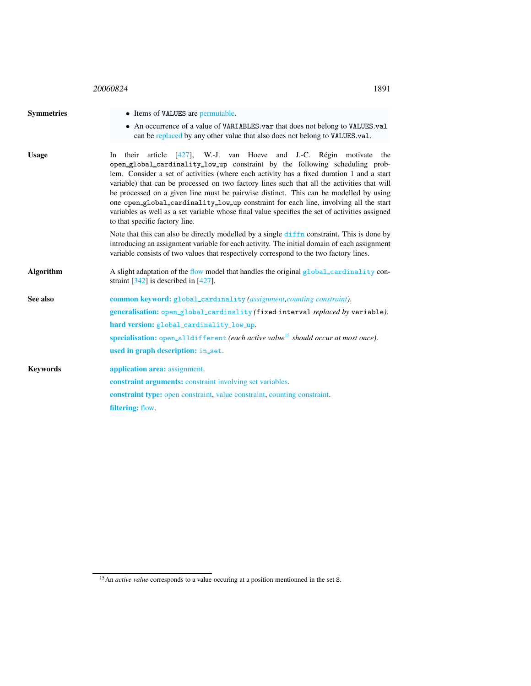| 20060824 | 1891 |
|----------|------|
|          |      |

<span id="page-1-0"></span>

| • Items of VALUES are permutable.                                                                                                                                                                                                                                                                                                                                                                                                                                                                                                                                                                                                                                    |  |  |
|----------------------------------------------------------------------------------------------------------------------------------------------------------------------------------------------------------------------------------------------------------------------------------------------------------------------------------------------------------------------------------------------------------------------------------------------------------------------------------------------------------------------------------------------------------------------------------------------------------------------------------------------------------------------|--|--|
| • An occurrence of a value of VARIABLES var that does not belong to VALUES val<br>can be replaced by any other value that also does not belong to VALUES.val.                                                                                                                                                                                                                                                                                                                                                                                                                                                                                                        |  |  |
| In their article [427], W.-J. van Hoeve and J.-C. Régin motivate the<br>open_global_cardinality_low_up constraint by the following scheduling prob-<br>lem. Consider a set of activities (where each activity has a fixed duration 1 and a start<br>variable) that can be processed on two factory lines such that all the activities that will<br>be processed on a given line must be pairwise distinct. This can be modelled by using<br>one open_global_cardinality_low_up constraint for each line, involving all the start<br>variables as well as a set variable whose final value specifies the set of activities assigned<br>to that specific factory line. |  |  |
| Note that this can also be directly modelled by a single diffn constraint. This is done by<br>introducing an assignment variable for each activity. The initial domain of each assignment<br>variable consists of two values that respectively correspond to the two factory lines.                                                                                                                                                                                                                                                                                                                                                                                  |  |  |
| A slight adaptation of the flow model that handles the original global_cardinality con-<br>straint $[342]$ is described in $[427]$ .                                                                                                                                                                                                                                                                                                                                                                                                                                                                                                                                 |  |  |
| <b>common keyword:</b> global_cardinality (assignment, counting constraint).<br>generalisation: open_global_cardinality (fixed interval replaced by variable).<br>hard version: global_cardinality_low_up.<br>specialisation: open_alldifferent (each active value <sup>15</sup> should occur at most once).<br>used in graph description: in_set.                                                                                                                                                                                                                                                                                                                   |  |  |
| application area: assignment.<br>constraint arguments: constraint involving set variables.<br><b>constraint type:</b> open constraint, value constraint, counting constraint.<br>filtering: flow.                                                                                                                                                                                                                                                                                                                                                                                                                                                                    |  |  |
|                                                                                                                                                                                                                                                                                                                                                                                                                                                                                                                                                                                                                                                                      |  |  |

<span id="page-1-1"></span><sup>15</sup>An *active value* corresponds to a value occuring at a position mentionned in the set S.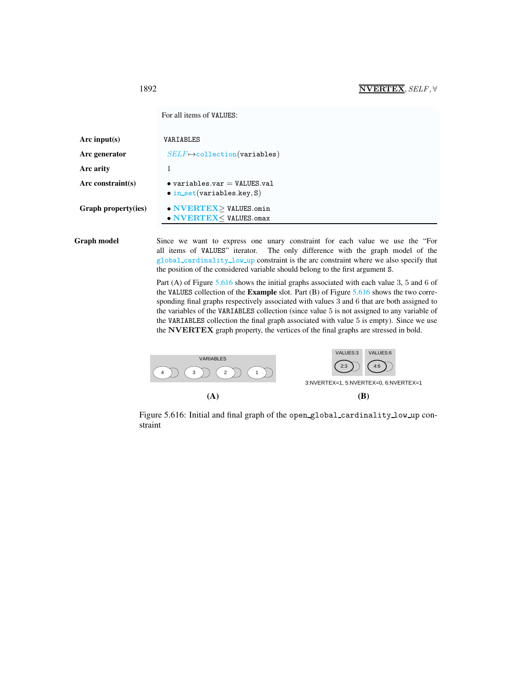<span id="page-2-0"></span>For all items of VALUES:

| Arc input(s)               | VARIABLES                                                                  |
|----------------------------|----------------------------------------------------------------------------|
| Arc generator              | $SELF \mapsto$ collection(variables)                                       |
| Arc arity                  | 1                                                                          |
| $Arc$ constraint(s)        | $\bullet$ variables.var = VALUES.val<br>$\bullet$ in_set(variables.key, S) |
| <b>Graph property(ies)</b> | • NVERTEX>VALUES.omin<br>$\bullet$ NVERTEX $<$ VALUES. omax                |
|                            |                                                                            |

Graph model Since we want to express one unary constraint for each value we use the "For all items of VALUES" iterator. The only difference with the graph model of the global cardinality low up constraint is the arc constraint where we also specify that the position of the considered variable should belong to the first argument S.

> Part (A) of Figure [5.616](#page-2-1) shows the initial graphs associated with each value 3, 5 and 6 of the VALUES collection of the **Example** slot. Part  $(B)$  of Figure [5.616](#page-2-1) shows the two corresponding final graphs respectively associated with values 3 and 6 that are both assigned to the variables of the VARIABLES collection (since value 5 is not assigned to any variable of the VARIABLES collection the final graph associated with value 5 is empty). Since we use the NVERTEX graph property, the vertices of the final graphs are stressed in bold.



<span id="page-2-1"></span>Figure 5.616: Initial and final graph of the open global cardinality low up constraint